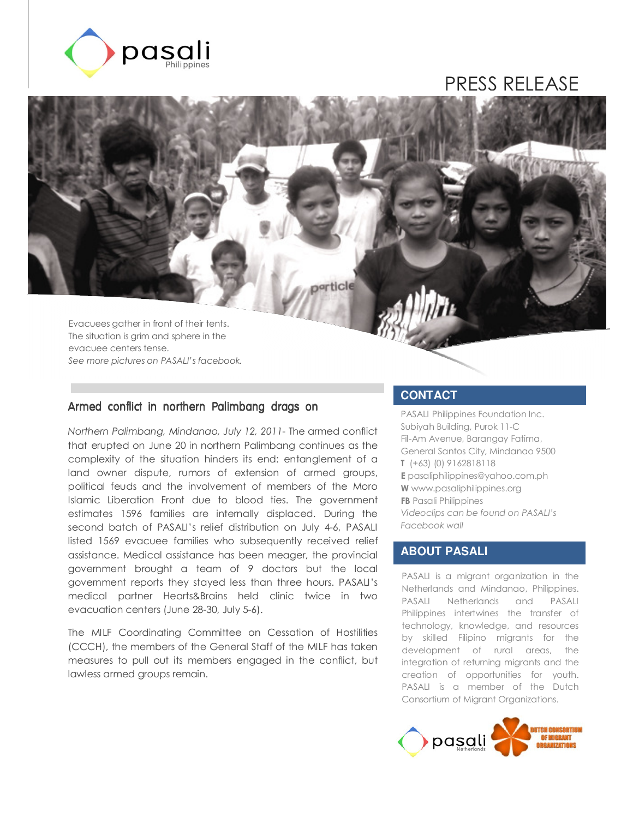

# PRESS RELEASE

Evacuees gather in front of their tents. The situation is grim and sphere in the evacuee centers tense. *See more pictures on PASALI's facebook.*

#### Armed conflict in northern Palimbang drags on

*Northern Palimbang, Mindanao, July 12, 2011*- The armed conflict that erupted on June 20 in northern Palimbang continues as the complexity of the situation hinders its end: entanglement of a land owner dispute, rumors of extension of armed groups, political feuds and the involvement of members of the Moro Islamic Liberation Front due to blood ties. The government estimates 1596 families are internally displaced. During the second batch of PASALI's relief distribution on July 4-6, PASALI listed 1569 evacuee families who subsequently received relief assistance. Medical assistance has been meager, the provincial government brought a team of 9 doctors but the local government reports they stayed less than three hours. PASALI's medical partner Hearts&Brains held clinic twice in two evacuation centers (June 28-30, July 5-6).

The MILF Coordinating Committee on Cessation of Hostilities (CCCH), the members of the General Staff of the MILF has taken measures to pull out its members engaged in the conflict, but lawless armed groups remain.

#### **CONTACT**

particle

PASALI Philippines Foundation Inc. Subiyah Building, Purok 11-C Fil-Am Avenue, Barangay Fatima, General Santos City, Mindanao 9500 **T** (+63) (0) 9162818118 **E** pasaliphilippines@yahoo.com.ph **W** www.pasaliphilippines.org **FB** Pasali Philippines *Videoclips can be found on PASALI's Facebook wall* 

### **ABOUT PASALI**

PASALI is a migrant organization in the Netherlands and Mindanao, Philippines. PASALI Netherlands and PASALI Philippines intertwines the transfer of technology, knowledge, and resources by skilled Filipino migrants for the development of rural areas, the integration of returning migrants and the creation of opportunities for youth. PASALI is a member of the Dutch Consortium of Migrant Organizations.